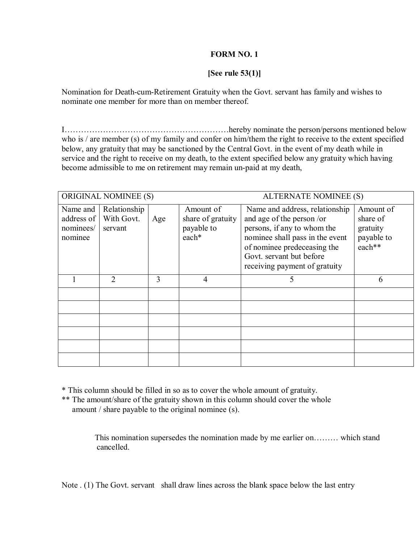## **FORM NO. 1**

## **[See rule 53(1)]**

Nomination for Death-cum-Retirement Gratuity when the Govt. servant has family and wishes to nominate one member for more than on member thereof.

IÖÖÖÖÖÖÖÖÖÖÖÖÖÖÖÖÖÖÖÖhereby nominate the person/persons mentioned below who is / are member (s) of my family and confer on him/them the right to receive to the extent specified below, any gratuity that may be sanctioned by the Central Govt. in the event of my death while in service and the right to receive on my death, to the extent specified below any gratuity which having become admissible to me on retirement may remain un-paid at my death,

| <b>ORIGINAL NOMINEE (S)</b>                      |                                       |     | <b>ALTERNATE NOMINEE (S)</b>                          |                                                                                                                                                                                                                           |                                                           |  |
|--------------------------------------------------|---------------------------------------|-----|-------------------------------------------------------|---------------------------------------------------------------------------------------------------------------------------------------------------------------------------------------------------------------------------|-----------------------------------------------------------|--|
| Name and<br>address of  <br>nominees/<br>nominee | Relationship<br>With Govt.<br>servant | Age | Amount of<br>share of gratuity<br>payable to<br>each* | Name and address, relationship<br>and age of the person /or<br>persons, if any to whom the<br>nominee shall pass in the event<br>of nominee predeceasing the<br>Govt. servant but before<br>receiving payment of gratuity | Amount of<br>share of<br>gratuity<br>payable to<br>each** |  |
|                                                  | $\overline{2}$                        | 3   | $\overline{4}$                                        | 5                                                                                                                                                                                                                         | 6                                                         |  |
|                                                  |                                       |     |                                                       |                                                                                                                                                                                                                           |                                                           |  |
|                                                  |                                       |     |                                                       |                                                                                                                                                                                                                           |                                                           |  |
|                                                  |                                       |     |                                                       |                                                                                                                                                                                                                           |                                                           |  |
|                                                  |                                       |     |                                                       |                                                                                                                                                                                                                           |                                                           |  |
|                                                  |                                       |     |                                                       |                                                                                                                                                                                                                           |                                                           |  |
|                                                  |                                       |     |                                                       |                                                                                                                                                                                                                           |                                                           |  |

\* This column should be filled in so as to cover the whole amount of gratuity.

\*\* The amount/share of the gratuity shown in this column should cover the whole amount / share payable to the original nominee (s).

> This nomination supersedes the nomination made by me earlier on......... which stand cancelled.

Note . (1) The Govt. servant shall draw lines across the blank space below the last entry